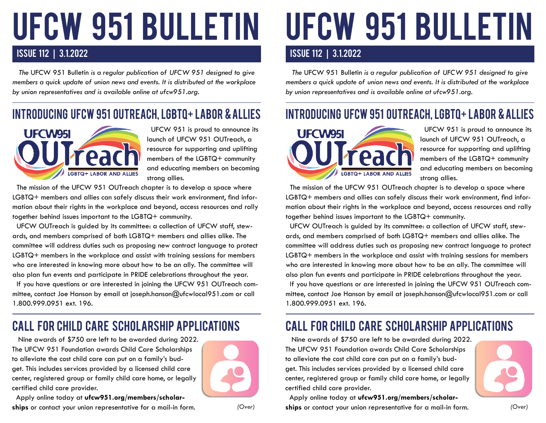# UFCW 951 BULLETIN

## ISSUE 112 | 3.1.2022 ISSUE 112 | 3.1.2022

 *The* UFCW 951 Bulletin *is a regular publication of UFCW 951 designed to give members a quick update of union news and events. It is distributed at the workplace by union representatives and is available online at ufcw951.org.* 

# INTRODUCING UFCW 951 OUTREACH, LGBTQ+ LABOR & ALLIES



 UFCW 951 is proud to announce its launch of UFCW 951 OUTreach, a resource for supporting and uplifting members of the LGBTQ+ community and educating members on becoming strong allies.

 The mission of the UFCW 951 OUTreach chapter is to develop a space where LGBTQ+ members and allies can safely discuss their work environment, find information about their rights in the workplace and beyond, access resources and rally together behind issues important to the LGBTQ+ community.

 UFCW OUTreach is guided by its committee: a collection of UFCW staff, stewards, and members comprised of both LGBTQ+ members and allies alike. The committee will address duties such as proposing new contract language to protect LGBTQ+ members in the workplace and assist with training sessions for members who are interested in knowing more about how to be an ally. The committee will also plan fun events and participate in PRIDE celebrations throughout the year.

 If you have questions or are interested in joining the UFCW 951 OUTreach committee, contact Joe Hanson by email at joseph.hanson@ufcwlocal951.com or call 1.800.999.0951 ext. 196.

## call for child care scholarship applications call for child care scholarship applications

 Nine awards of \$750 are left to be awarded during 2022. The UFCW 951 Foundation awards Child Care Scholarships to alleviate the cost child care can put on a family's budget. This includes services provided by a licensed child care center, registered group or family child care home, or legally certified child care provider.

 Apply online today at **ufcw951.org/members/scholarships** or contact your union representative for a mail-in form.



*(Over) (Over)*